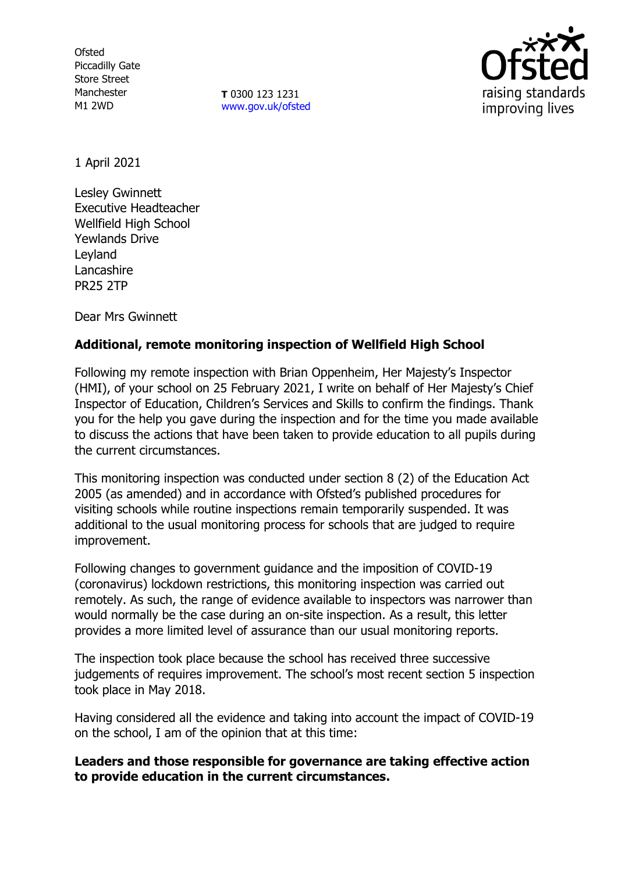**Ofsted** Piccadilly Gate Store Street Manchester M1 2WD

**T** 0300 123 1231 [www.gov.uk/ofsted](http://www.gov.uk/ofsted)



1 April 2021

Lesley Gwinnett Executive Headteacher Wellfield High School Yewlands Drive Leyland Lancashire PR25 2TP

Dear Mrs Gwinnett

# **Additional, remote monitoring inspection of Wellfield High School**

Following my remote inspection with Brian Oppenheim, Her Majesty's Inspector (HMI), of your school on 25 February 2021, I write on behalf of Her Majesty's Chief Inspector of Education, Children's Services and Skills to confirm the findings. Thank you for the help you gave during the inspection and for the time you made available to discuss the actions that have been taken to provide education to all pupils during the current circumstances.

This monitoring inspection was conducted under section 8 (2) of the Education Act 2005 (as amended) and in accordance with Ofsted's published procedures for visiting schools while routine inspections remain temporarily suspended. It was additional to the usual monitoring process for schools that are judged to require improvement.

Following changes to government guidance and the imposition of COVID-19 (coronavirus) lockdown restrictions, this monitoring inspection was carried out remotely. As such, the range of evidence available to inspectors was narrower than would normally be the case during an on-site inspection. As a result, this letter provides a more limited level of assurance than our usual monitoring reports.

The inspection took place because the school has received three successive judgements of requires improvement. The school's most recent section 5 inspection took place in May 2018.

Having considered all the evidence and taking into account the impact of COVID-19 on the school, I am of the opinion that at this time:

# **Leaders and those responsible for governance are taking effective action to provide education in the current circumstances.**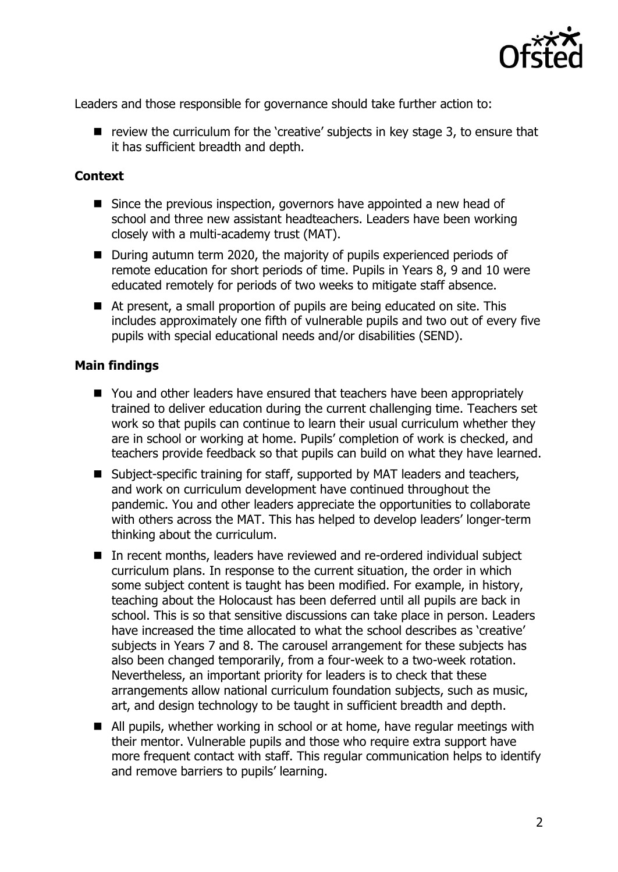

Leaders and those responsible for governance should take further action to:

■ review the curriculum for the 'creative' subjects in key stage 3, to ensure that it has sufficient breadth and depth.

### **Context**

- Since the previous inspection, governors have appointed a new head of school and three new assistant headteachers. Leaders have been working closely with a multi-academy trust (MAT).
- During autumn term 2020, the majority of pupils experienced periods of remote education for short periods of time. Pupils in Years 8, 9 and 10 were educated remotely for periods of two weeks to mitigate staff absence.
- At present, a small proportion of pupils are being educated on site. This includes approximately one fifth of vulnerable pupils and two out of every five pupils with special educational needs and/or disabilities (SEND).

#### **Main findings**

- You and other leaders have ensured that teachers have been appropriately trained to deliver education during the current challenging time. Teachers set work so that pupils can continue to learn their usual curriculum whether they are in school or working at home. Pupils' completion of work is checked, and teachers provide feedback so that pupils can build on what they have learned.
- Subject-specific training for staff, supported by MAT leaders and teachers, and work on curriculum development have continued throughout the pandemic. You and other leaders appreciate the opportunities to collaborate with others across the MAT. This has helped to develop leaders' longer-term thinking about the curriculum.
- In recent months, leaders have reviewed and re-ordered individual subject curriculum plans. In response to the current situation, the order in which some subject content is taught has been modified. For example, in history, teaching about the Holocaust has been deferred until all pupils are back in school. This is so that sensitive discussions can take place in person. Leaders have increased the time allocated to what the school describes as 'creative' subjects in Years 7 and 8. The carousel arrangement for these subjects has also been changed temporarily, from a four-week to a two-week rotation. Nevertheless, an important priority for leaders is to check that these arrangements allow national curriculum foundation subjects, such as music, art, and design technology to be taught in sufficient breadth and depth.
- All pupils, whether working in school or at home, have regular meetings with their mentor. Vulnerable pupils and those who require extra support have more frequent contact with staff. This regular communication helps to identify and remove barriers to pupils' learning.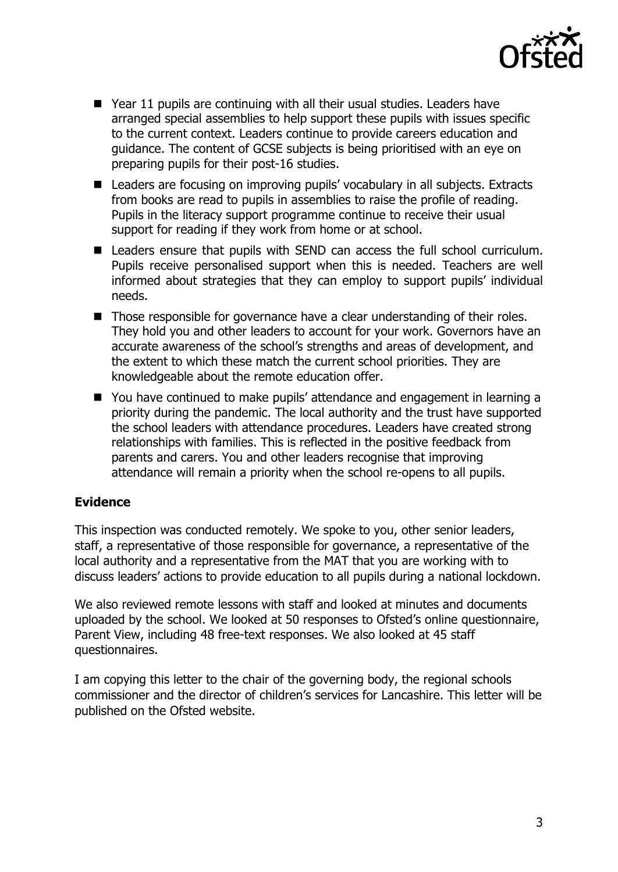

- Year 11 pupils are continuing with all their usual studies. Leaders have arranged special assemblies to help support these pupils with issues specific to the current context. Leaders continue to provide careers education and guidance. The content of GCSE subjects is being prioritised with an eye on preparing pupils for their post-16 studies.
- Leaders are focusing on improving pupils' vocabulary in all subjects. Extracts from books are read to pupils in assemblies to raise the profile of reading. Pupils in the literacy support programme continue to receive their usual support for reading if they work from home or at school.
- Leaders ensure that pupils with SEND can access the full school curriculum. Pupils receive personalised support when this is needed. Teachers are well informed about strategies that they can employ to support pupils' individual needs.
- Those responsible for governance have a clear understanding of their roles. They hold you and other leaders to account for your work. Governors have an accurate awareness of the school's strengths and areas of development, and the extent to which these match the current school priorities. They are knowledgeable about the remote education offer.
- You have continued to make pupils' attendance and engagement in learning a priority during the pandemic. The local authority and the trust have supported the school leaders with attendance procedures. Leaders have created strong relationships with families. This is reflected in the positive feedback from parents and carers. You and other leaders recognise that improving attendance will remain a priority when the school re-opens to all pupils.

# **Evidence**

This inspection was conducted remotely. We spoke to you, other senior leaders, staff, a representative of those responsible for governance, a representative of the local authority and a representative from the MAT that you are working with to discuss leaders' actions to provide education to all pupils during a national lockdown.

We also reviewed remote lessons with staff and looked at minutes and documents uploaded by the school. We looked at 50 responses to Ofsted's online questionnaire, Parent View, including 48 free-text responses. We also looked at 45 staff questionnaires.

I am copying this letter to the chair of the governing body, the regional schools commissioner and the director of children's services for Lancashire. This letter will be published on the Ofsted website.